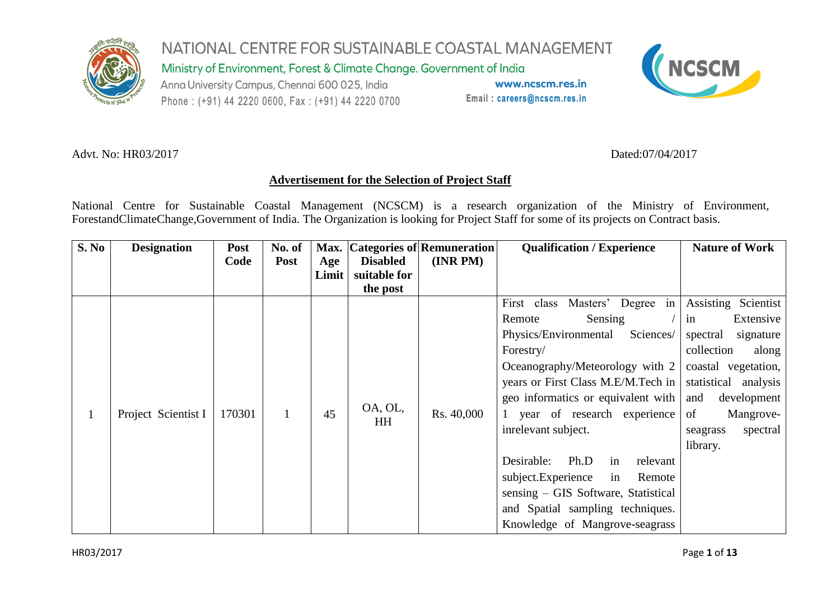

Ministry of Environment, Forest & Climate Change. Government of India

Anna University Campus, Chennai 600 025, India Phone: (+91) 44 2220 0600, Fax: (+91) 44 2220 0700

www.ncscm.res.in Email: careers@ncscm.res.in



#### Advt. No: HR03/2017 Dated:07/04/2017

#### **Advertisement for the Selection of Project Staff**

National Centre for Sustainable Coastal Management (NCSCM) is a research organization of the Ministry of Environment, ForestandClimateChange,Government of India. The Organization is looking for Project Staff for some of its projects on Contract basis.

| <b>S. No</b> | <b>Designation</b>  | Post<br>Code | No. of<br><b>Post</b> | Age   | <b>Disabled</b>      | Max. Categories of Remuneration<br>(INR PM) | <b>Qualification / Experience</b>                                                               | <b>Nature of Work</b>                      |
|--------------|---------------------|--------------|-----------------------|-------|----------------------|---------------------------------------------|-------------------------------------------------------------------------------------------------|--------------------------------------------|
|              |                     |              |                       | Limit | suitable for         |                                             |                                                                                                 |                                            |
|              |                     |              |                       |       | the post             |                                             | Masters' Degree in Assisting Scientist<br>First<br>class                                        |                                            |
|              |                     |              |                       |       |                      |                                             | Sensing<br>Remote<br>Sciences/<br>Physics/Environmental                                         | Extensive<br>in<br>spectral<br>signature   |
|              | Project Scientist I | 170301       | 45                    |       | OA, OL,<br><b>HH</b> |                                             | Forestry/<br>Oceanography/Meteorology with $2 \mid$                                             | collection<br>along<br>coastal vegetation, |
|              |                     |              |                       |       |                      | Rs. 40,000                                  | years or First Class M.E/M.Tech in   statistical analysis<br>geo informatics or equivalent with | and<br>development                         |
|              |                     |              |                       |       |                      |                                             | 1 year of research experience                                                                   | of<br>Mangrove-                            |
|              |                     |              |                       |       |                      |                                             | inrelevant subject.                                                                             | spectral<br>seagrass<br>library.           |
|              |                     |              |                       |       |                      |                                             | Ph.D<br>Desirable:<br>relevant<br>in<br>subject.Experience<br>in<br>Remote                      |                                            |
|              |                     |              |                       |       |                      |                                             | sensing – GIS Software, Statistical                                                             |                                            |
|              |                     |              |                       |       |                      |                                             | and Spatial sampling techniques.<br>Knowledge of Mangrove-seagrass                              |                                            |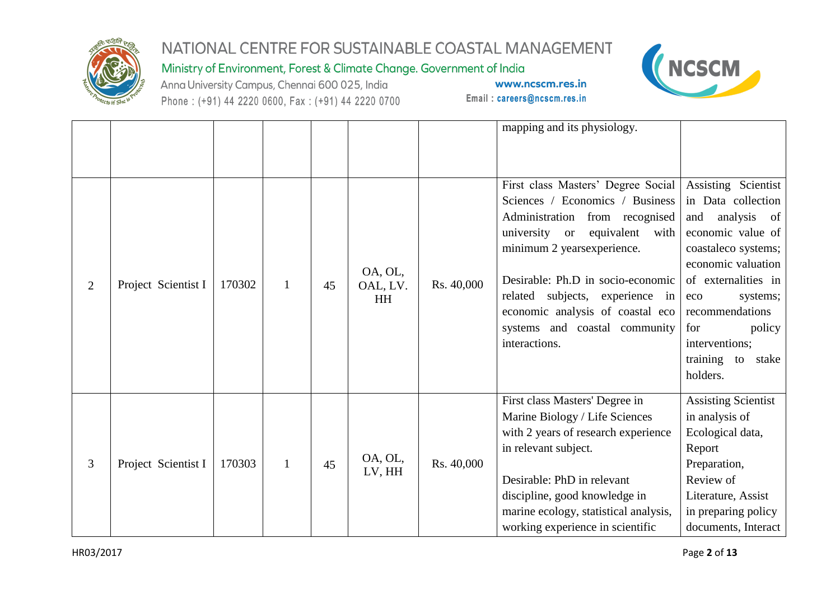

Ministry of Environment, Forest & Climate Change. Government of India

Anna University Campus, Chennai 600 025, India Phone: (+91) 44 2220 0600, Fax: (+91) 44 2220 0700



|   |                     |        |              |    |                   |            | mapping and its physiology.           |                                           |
|---|---------------------|--------|--------------|----|-------------------|------------|---------------------------------------|-------------------------------------------|
|   |                     |        |              |    |                   |            |                                       |                                           |
|   |                     |        |              |    |                   |            | First class Masters' Degree Social    | Assisting Scientist                       |
|   |                     |        |              |    |                   |            | Sciences / Economics / Business       | in Data collection                        |
|   |                     |        |              |    |                   |            | Administration from recognised        | analysis of<br>and                        |
|   |                     |        |              |    |                   |            | university or<br>equivalent with      | economic value of                         |
|   |                     |        |              |    |                   |            | minimum 2 years experience.           | coastaleco systems;<br>economic valuation |
| 2 |                     |        |              |    | OA, OL,           |            | Desirable: Ph.D in socio-economic     | of externalities in                       |
|   | Project Scientist I | 170302 | $\mathbf{1}$ | 45 | OAL, LV.          | Rs. 40,000 | related subjects, experience in       | systems;<br>eco                           |
|   |                     |        |              |    | <b>HH</b>         |            | economic analysis of coastal eco      | recommendations                           |
|   |                     |        |              |    |                   |            | systems and coastal community         | for<br>policy                             |
|   |                     |        |              |    |                   |            | interactions.                         | interventions;                            |
|   |                     |        |              |    |                   |            |                                       | training to stake                         |
|   |                     |        |              |    |                   |            |                                       | holders.                                  |
|   |                     |        |              |    |                   |            | First class Masters' Degree in        | <b>Assisting Scientist</b>                |
|   |                     |        |              |    |                   |            | Marine Biology / Life Sciences        | in analysis of                            |
|   |                     |        |              |    |                   |            | with 2 years of research experience   | Ecological data,                          |
|   |                     |        |              |    |                   |            | in relevant subject.                  | Report                                    |
| 3 | Project Scientist I | 170303 | $\mathbf{1}$ | 45 | OA, OL,<br>LV, HH | Rs. 40,000 |                                       | Preparation,                              |
|   |                     |        |              |    |                   |            | Desirable: PhD in relevant            | Review of                                 |
|   |                     |        |              |    |                   |            | discipline, good knowledge in         | Literature, Assist                        |
|   |                     |        |              |    |                   |            | marine ecology, statistical analysis, | in preparing policy                       |
|   |                     |        |              |    |                   |            | working experience in scientific      | documents, Interact                       |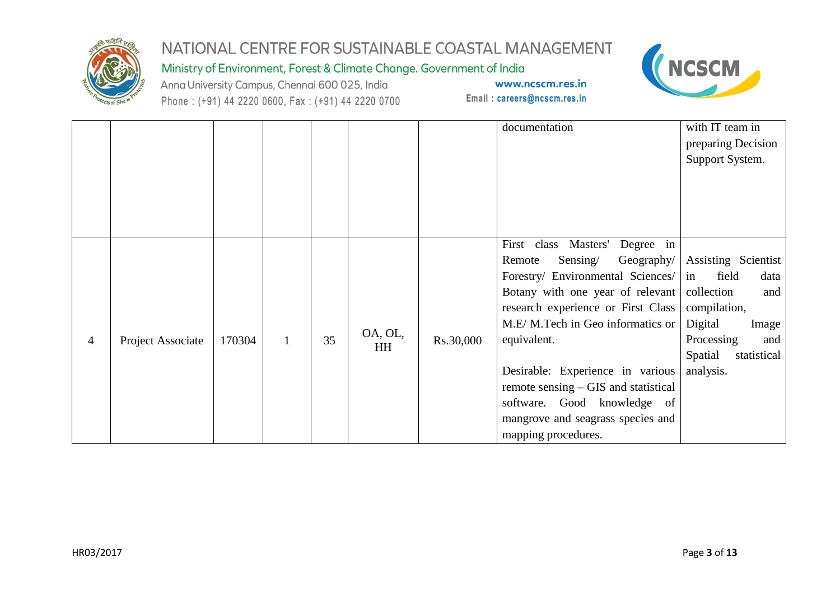

Ministry of Environment, Forest & Climate Change. Government of India

Anna University Campus, Chennai 600 025, India Phone: (+91) 44 2220 0600, Fax: (+91) 44 2220 0700



|   |                   |        |              |    |                      |           | documentation                                                                                                                                                                                                                                                                                                                                                                                       | with IT team in<br>preparing Decision<br>Support System.                                                                                                             |
|---|-------------------|--------|--------------|----|----------------------|-----------|-----------------------------------------------------------------------------------------------------------------------------------------------------------------------------------------------------------------------------------------------------------------------------------------------------------------------------------------------------------------------------------------------------|----------------------------------------------------------------------------------------------------------------------------------------------------------------------|
| 4 | Project Associate | 170304 | $\mathbf{1}$ | 35 | OA, OL,<br><b>HH</b> | Rs.30,000 | First<br>class Masters' Degree in<br>Sensing/<br>Remote<br>Forestry/ Environmental Sciences/ in<br>Botany with one year of relevant<br>research experience or First Class<br>M.E/M.Tech in Geo informatics or<br>equivalent.<br>Desirable: Experience in various<br>remote sensing – GIS and statistical<br>software. Good knowledge of<br>mangrove and seagrass species and<br>mapping procedures. | Geography/ Assisting Scientist<br>field<br>data<br>collection<br>and<br>compilation,<br>Digital<br>Image<br>Processing<br>and<br>Spatial<br>statistical<br>analysis. |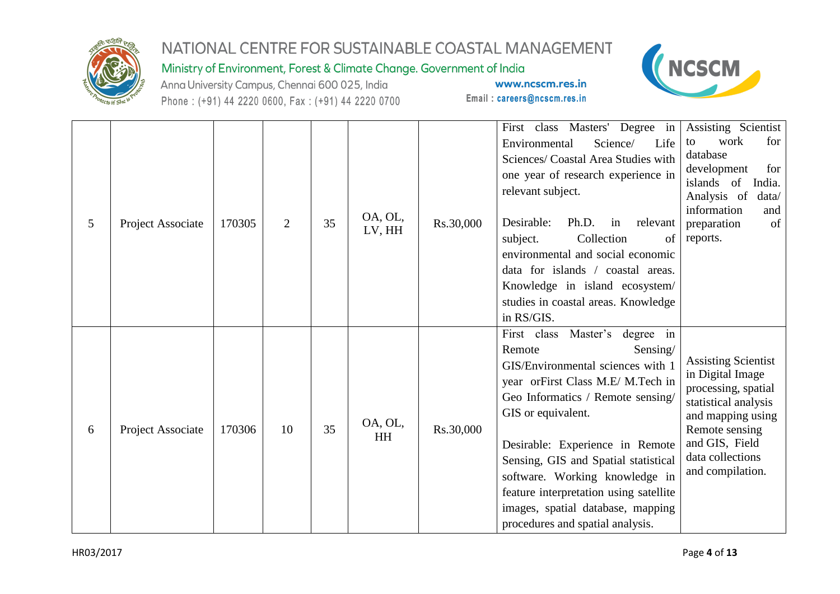

#### Ministry of Environment, Forest & Climate Change. Government of India

Anna University Campus, Chennai 600 025, India Phone: (+91) 44 2220 0600, Fax: (+91) 44 2220 0700



| 5 | Project Associate | 170305 | $\overline{2}$ | 35 | OA, OL,<br>LV, HH    | Rs.30,000 | First class Masters' Degree in<br>Environmental<br>Science/<br>Life<br>Sciences/ Coastal Area Studies with<br>one year of research experience in<br>relevant subject.<br>Desirable:<br>Ph.D.<br>relevant<br>in<br>Collection<br>subject.<br>of<br>environmental and social economic<br>data for islands / coastal areas.<br>Knowledge in island ecosystem/<br>studies in coastal areas. Knowledge<br>in RS/GIS.                 | Assisting Scientist<br>work<br>for<br>to<br>database<br>development<br>for<br>islands of<br>India.<br>Analysis of<br>data/<br>information<br>and<br>of<br>preparation<br>reports.              |
|---|-------------------|--------|----------------|----|----------------------|-----------|---------------------------------------------------------------------------------------------------------------------------------------------------------------------------------------------------------------------------------------------------------------------------------------------------------------------------------------------------------------------------------------------------------------------------------|------------------------------------------------------------------------------------------------------------------------------------------------------------------------------------------------|
| 6 | Project Associate | 170306 | 10             | 35 | OA, OL,<br><b>HH</b> | Rs.30,000 | First class<br>Master's<br>degree in<br>Remote<br>Sensing/<br>GIS/Environmental sciences with 1<br>year orFirst Class M.E/ M.Tech in<br>Geo Informatics / Remote sensing/<br>GIS or equivalent.<br>Desirable: Experience in Remote<br>Sensing, GIS and Spatial statistical<br>software. Working knowledge in<br>feature interpretation using satellite<br>images, spatial database, mapping<br>procedures and spatial analysis. | <b>Assisting Scientist</b><br>in Digital Image<br>processing, spatial<br>statistical analysis<br>and mapping using<br>Remote sensing<br>and GIS, Field<br>data collections<br>and compilation. |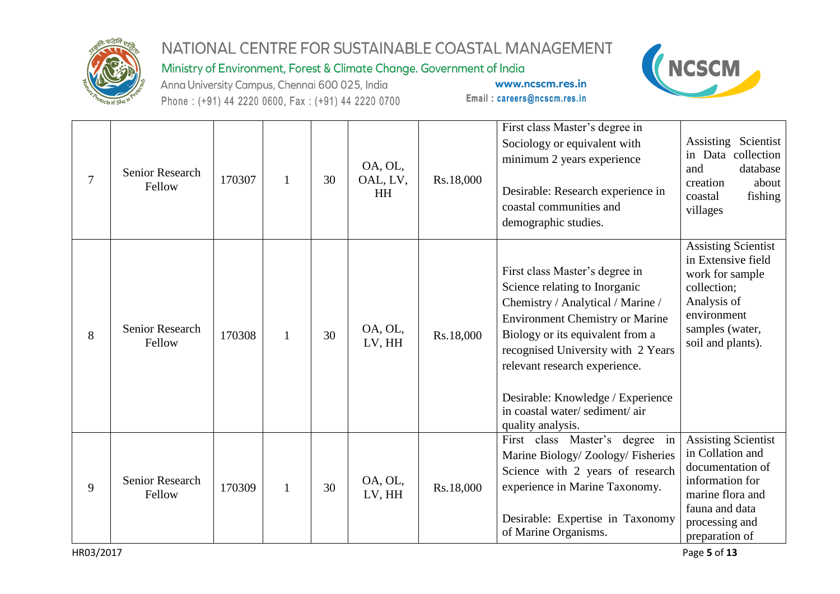

Ministry of Environment, Forest & Climate Change. Government of India

Anna University Campus, Chennai 600 025, India Phone: (+91) 44 2220 0600, Fax: (+91) 44 2220 0700



| $\overline{7}$ | <b>Senior Research</b><br>Fellow | 170307 | $\mathbf{1}$ | 30 | OA, OL,<br>OAL, LV,<br>HH | Rs.18,000 | First class Master's degree in<br>Sociology or equivalent with<br>minimum 2 years experience<br>Desirable: Research experience in<br>coastal communities and<br>demographic studies.                                                                                                                                                                 | Assisting Scientist<br>in Data collection<br>and<br>database<br>about<br>creation<br>fishing<br>coastal<br>villages                                             |
|----------------|----------------------------------|--------|--------------|----|---------------------------|-----------|------------------------------------------------------------------------------------------------------------------------------------------------------------------------------------------------------------------------------------------------------------------------------------------------------------------------------------------------------|-----------------------------------------------------------------------------------------------------------------------------------------------------------------|
| 8              | Senior Research<br>Fellow        | 170308 | $\mathbf{1}$ | 30 | OA, OL,<br>LV, HH         | Rs.18,000 | First class Master's degree in<br>Science relating to Inorganic<br>Chemistry / Analytical / Marine /<br><b>Environment Chemistry or Marine</b><br>Biology or its equivalent from a<br>recognised University with 2 Years<br>relevant research experience.<br>Desirable: Knowledge / Experience<br>in coastal water/sediment/air<br>quality analysis. | <b>Assisting Scientist</b><br>in Extensive field<br>work for sample<br>collection;<br>Analysis of<br>environment<br>samples (water,<br>soil and plants).        |
| 9              | Senior Research<br>Fellow        | 170309 | $\mathbf{1}$ | 30 | OA, OL,<br>LV, HH         | Rs.18,000 | First class Master's degree in<br>Marine Biology/ Zoology/ Fisheries<br>Science with 2 years of research<br>experience in Marine Taxonomy.<br>Desirable: Expertise in Taxonomy<br>of Marine Organisms.                                                                                                                                               | <b>Assisting Scientist</b><br>in Collation and<br>documentation of<br>information for<br>marine flora and<br>fauna and data<br>processing and<br>preparation of |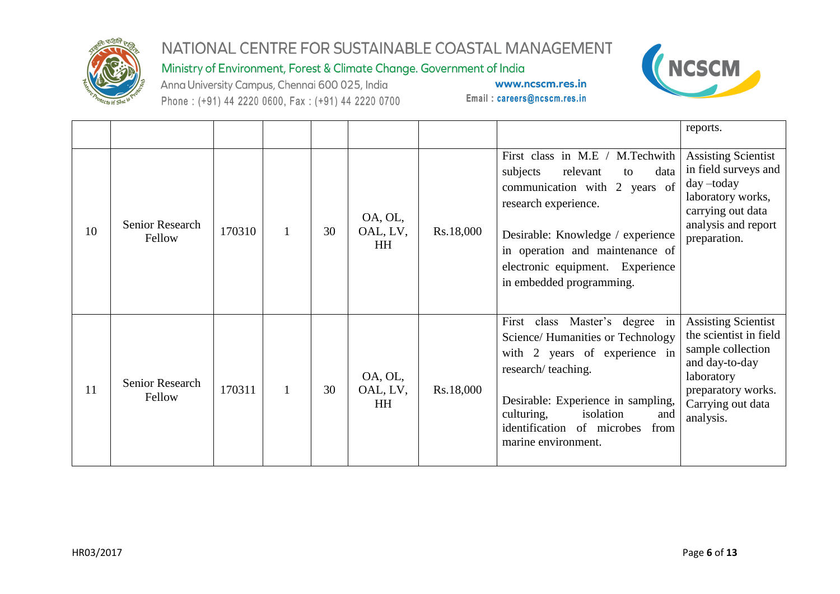

Ministry of Environment, Forest & Climate Change. Government of India

Anna University Campus, Chennai 600 025, India Phone: (+91) 44 2220 0600, Fax: (+91) 44 2220 0700



|    |                           |        |    |                                  |           |                                                                                                                                                                                                                                                                        | reports.                                                                                                                                                          |
|----|---------------------------|--------|----|----------------------------------|-----------|------------------------------------------------------------------------------------------------------------------------------------------------------------------------------------------------------------------------------------------------------------------------|-------------------------------------------------------------------------------------------------------------------------------------------------------------------|
| 10 | Senior Research<br>Fellow | 170310 | 30 | OA, OL,<br>OAL, LV,<br><b>HH</b> | Rs.18,000 | First class in M.E / M.Techwith<br>subjects<br>relevant<br>data<br>to<br>communication with 2 years of<br>research experience.<br>Desirable: Knowledge / experience<br>in operation and maintenance of<br>electronic equipment. Experience<br>in embedded programming. | <b>Assisting Scientist</b><br>in field surveys and<br>day-today<br>laboratory works,<br>carrying out data<br>analysis and report<br>preparation.                  |
| 11 | Senior Research<br>Fellow | 170311 | 30 | OA, OL,<br>OAL, LV,<br><b>HH</b> | Rs.18,000 | First class Master's degree in<br>Science/ Humanities or Technology<br>with 2 years of experience in<br>research/teaching.<br>Desirable: Experience in sampling,<br>isolation<br>culturing,<br>and<br>identification of microbes<br>from<br>marine environment.        | <b>Assisting Scientist</b><br>the scientist in field<br>sample collection<br>and day-to-day<br>laboratory<br>preparatory works.<br>Carrying out data<br>analysis. |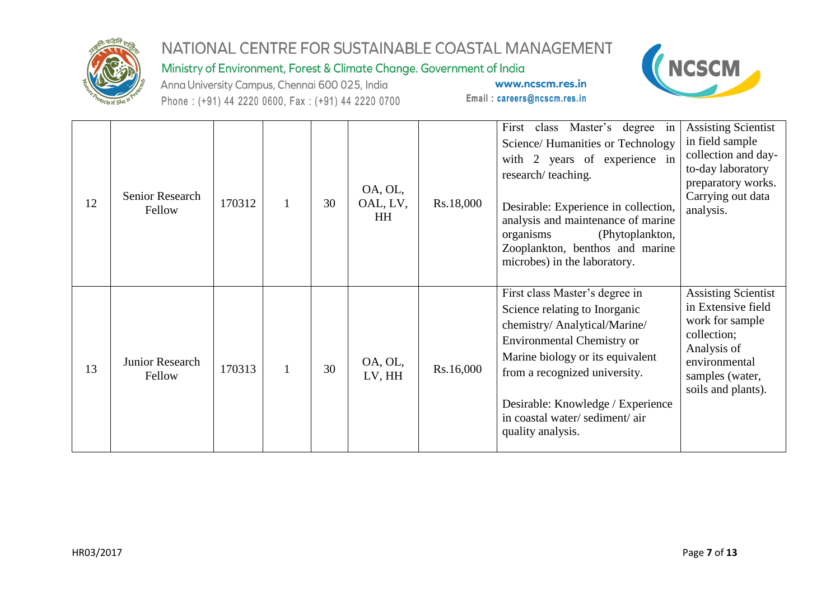

Ministry of Environment, Forest & Climate Change. Government of India

Anna University Campus, Chennai 600 025, India Phone: (+91) 44 2220 0600, Fax: (+91) 44 2220 0700



| 12 | Senior Research<br>Fellow | 170312 |              | 30 | OA, OL,<br>OAL, LV,<br><b>HH</b> | Rs.18,000 | First class Master's degree in<br>Science/Humanities or Technology<br>with 2 years of experience in<br>research/teaching.<br>Desirable: Experience in collection,<br>analysis and maintenance of marine<br>(Phytoplankton,<br>organisms<br>Zooplankton, benthos and marine<br>microbes) in the laboratory. | <b>Assisting Scientist</b><br>in field sample<br>collection and day-<br>to-day laboratory<br>preparatory works.<br>Carrying out data<br>analysis.           |
|----|---------------------------|--------|--------------|----|----------------------------------|-----------|------------------------------------------------------------------------------------------------------------------------------------------------------------------------------------------------------------------------------------------------------------------------------------------------------------|-------------------------------------------------------------------------------------------------------------------------------------------------------------|
| 13 | Junior Research<br>Fellow | 170313 | $\mathbf{1}$ | 30 | OA, OL,<br>LV, HH                | Rs.16,000 | First class Master's degree in<br>Science relating to Inorganic<br>chemistry/ Analytical/Marine/<br><b>Environmental Chemistry or</b><br>Marine biology or its equivalent<br>from a recognized university.<br>Desirable: Knowledge / Experience<br>in coastal water/sediment/air<br>quality analysis.      | <b>Assisting Scientist</b><br>in Extensive field<br>work for sample<br>collection;<br>Analysis of<br>environmental<br>samples (water,<br>soils and plants). |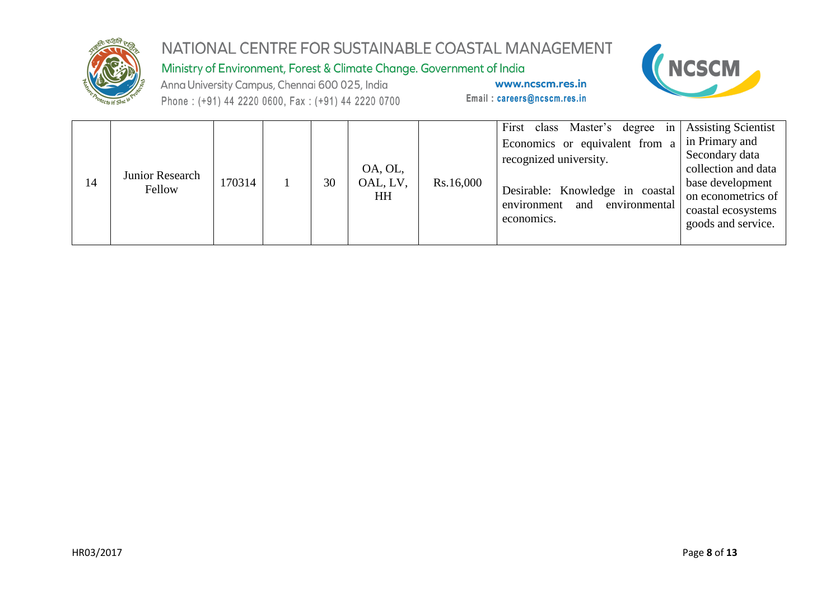

Ministry of Environment, Forest & Climate Change. Government of India

Anna University Campus, Chennai 600 025, India Phone: (+91) 44 2220 0600, Fax: (+91) 44 2220 0700



| $\overline{14}$ | Junior Research<br>Fellow | 170314 |  | 30 | OA, OL,<br>OAL, LV,<br>HH | Rs.16,000 | First class Master's degree in Assisting Scientist<br>Economics or equivalent from a<br>recognized university.<br>Desirable: Knowledge in coastal<br>environmental<br>and<br>environment<br>economics. | in Primary and<br>Secondary data<br>collection and data<br>base development<br>on econometrics of<br>coastal ecosystems<br>goods and service. |
|-----------------|---------------------------|--------|--|----|---------------------------|-----------|--------------------------------------------------------------------------------------------------------------------------------------------------------------------------------------------------------|-----------------------------------------------------------------------------------------------------------------------------------------------|
|-----------------|---------------------------|--------|--|----|---------------------------|-----------|--------------------------------------------------------------------------------------------------------------------------------------------------------------------------------------------------------|-----------------------------------------------------------------------------------------------------------------------------------------------|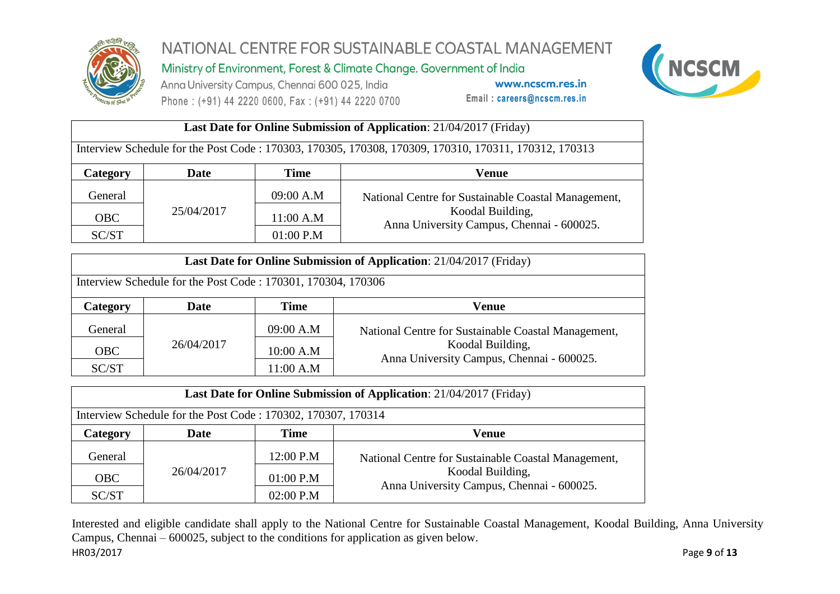

Ministry of Environment, Forest & Climate Change. Government of India

Anna University Campus, Chennai 600 025, India Phone: (+91) 44 2220 0600, Fax: (+91) 44 2220 0700

www.ncscm.res.in Email: careers@ncscm.res.in



#### **Last Date for Online Submission of Application**: 21/04/2017 (Friday) Interview Schedule for the Post Code : 170303, 170305, 170308, 170309, 170310, 170311, 170312, 170313 **Category Date Time Venue** General 25/04/2017 09:00 A.M National Centre for Sustainable Coastal Management, Koodal Building,  $\begin{array}{c|c}\n\hline\n\text{OBC} & \text{23/04/2017} \\
\hline\n\text{SC/ST}\n\end{array}$   $\begin{array}{c|c}\n\hline\n11:00 \text{ A.M} \\
\hline\n01:00 \text{ P.M}\n\end{array}$  Anna University Campus, Chennai - 600025.  $01:00$  P.M

| <b>Last Date for Online Submission of Application:</b> 21/04/2017 (Friday) |                       |           |                                                               |  |  |  |  |  |  |
|----------------------------------------------------------------------------|-----------------------|-----------|---------------------------------------------------------------|--|--|--|--|--|--|
| Interview Schedule for the Post Code: 170301, 170304, 170306               |                       |           |                                                               |  |  |  |  |  |  |
| Category                                                                   | Time<br>Date<br>Venue |           |                                                               |  |  |  |  |  |  |
| General                                                                    |                       | 09:00 A.M | National Centre for Sustainable Coastal Management,           |  |  |  |  |  |  |
| <b>OBC</b>                                                                 | 26/04/2017            | 10:00 A.M | Koodal Building,<br>Anna University Campus, Chennai - 600025. |  |  |  |  |  |  |
| SC/ST                                                                      |                       | 11:00 A.M |                                                               |  |  |  |  |  |  |

| <b>Last Date for Online Submission of Application:</b> 21/04/2017 (Friday) |             |             |                                                               |  |  |  |  |  |  |  |
|----------------------------------------------------------------------------|-------------|-------------|---------------------------------------------------------------|--|--|--|--|--|--|--|
| Interview Schedule for the Post Code: 170302, 170307, 170314               |             |             |                                                               |  |  |  |  |  |  |  |
| <b>Category</b>                                                            | <b>Date</b> | Time        | Venue                                                         |  |  |  |  |  |  |  |
| General                                                                    |             | 12:00 P.M   | National Centre for Sustainable Coastal Management,           |  |  |  |  |  |  |  |
| <b>OBC</b>                                                                 | 26/04/2017  | $01:00$ P.M | Koodal Building,<br>Anna University Campus, Chennai - 600025. |  |  |  |  |  |  |  |
| SC/ST                                                                      |             | 02:00 P.M   |                                                               |  |  |  |  |  |  |  |

HR03/2017 Page **9** of **13** Interested and eligible candidate shall apply to the National Centre for Sustainable Coastal Management, Koodal Building, Anna University Campus, Chennai – 600025, subject to the conditions for application as given below.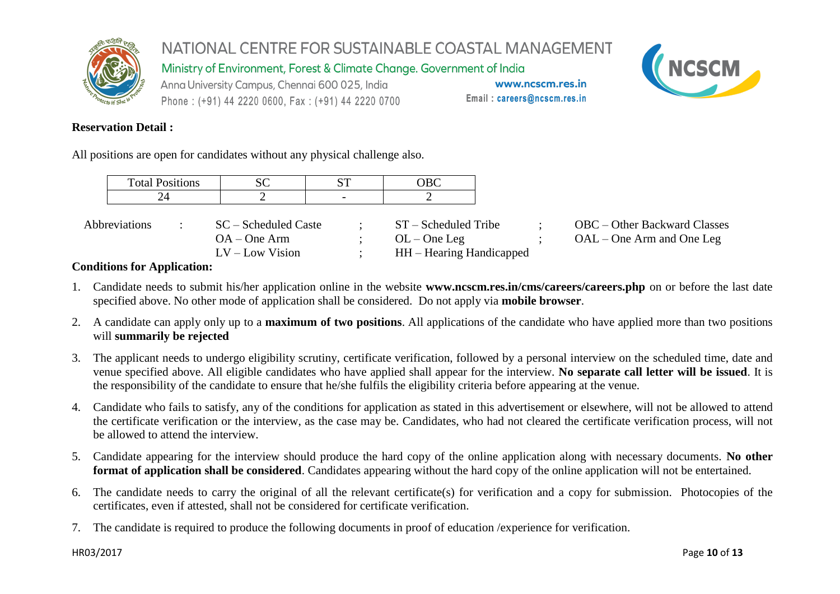

Ministry of Environment, Forest & Climate Change. Government of India

Anna University Campus, Chennai 600 025, India Phone: (+91) 44 2220 0600, Fax: (+91) 44 2220 0700

www.ncscm.res.in Email: careers@ncscm.res.in



#### **Reservation Detail :**

All positions are open for candidates without any physical challenge also.

| <b>Total Positions</b> | SC                                                          |                          | OBC                                                                   |  |                                                             |
|------------------------|-------------------------------------------------------------|--------------------------|-----------------------------------------------------------------------|--|-------------------------------------------------------------|
|                        |                                                             | $\overline{\phantom{0}}$ |                                                                       |  |                                                             |
| Abbreviations          | SC – Scheduled Caste<br>$OA - One Arm$<br>$LV - Low Vision$ |                          | $ST - S$ cheduled Tribe<br>$OL$ – One Leg<br>HH – Hearing Handicapped |  | OBC – Other Backward Classes<br>$OAL - One$ Arm and One Leg |

#### **Conditions for Application:**

- 1. Candidate needs to submit his/her application online in the website **www.ncscm.res.in/cms/careers/careers.php** on or before the last date specified above. No other mode of application shall be considered. Do not apply via **mobile browser**.
- 2. A candidate can apply only up to a **maximum of two positions**. All applications of the candidate who have applied more than two positions will **summarily be rejected**
- 3. The applicant needs to undergo eligibility scrutiny, certificate verification, followed by a personal interview on the scheduled time, date and venue specified above. All eligible candidates who have applied shall appear for the interview. **No separate call letter will be issued**. It is the responsibility of the candidate to ensure that he/she fulfils the eligibility criteria before appearing at the venue.
- 4. Candidate who fails to satisfy, any of the conditions for application as stated in this advertisement or elsewhere, will not be allowed to attend the certificate verification or the interview, as the case may be. Candidates, who had not cleared the certificate verification process, will not be allowed to attend the interview.
- 5. Candidate appearing for the interview should produce the hard copy of the online application along with necessary documents. **No other format of application shall be considered**. Candidates appearing without the hard copy of the online application will not be entertained.
- 6. The candidate needs to carry the original of all the relevant certificate(s) for verification and a copy for submission. Photocopies of the certificates, even if attested, shall not be considered for certificate verification.
- 7. The candidate is required to produce the following documents in proof of education /experience for verification.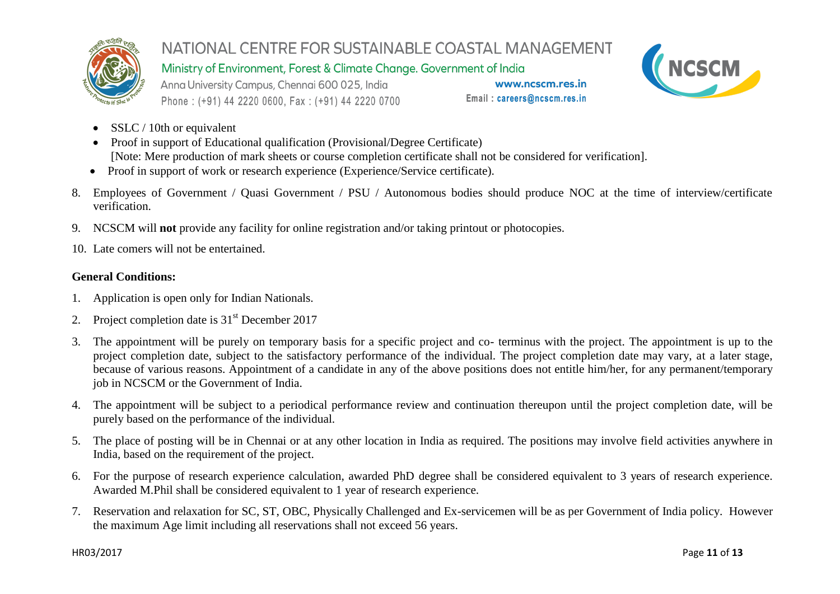

Ministry of Environment, Forest & Climate Change. Government of India

Anna University Campus, Chennai 600 025, India Phone: (+91) 44 2220 0600, Fax: (+91) 44 2220 0700

www.ncscm.res.in Email: careers@ncscm.res.in



- SSLC / 10th or equivalent
- Proof in support of Educational qualification (Provisional/Degree Certificate) [Note: Mere production of mark sheets or course completion certificate shall not be considered for verification].
- Proof in support of work or research experience (Experience/Service certificate).
- 8. Employees of Government / Quasi Government / PSU / Autonomous bodies should produce NOC at the time of interview/certificate verification.
- 9. NCSCM will **not** provide any facility for online registration and/or taking printout or photocopies.
- 10. Late comers will not be entertained.

#### **General Conditions:**

- 1. Application is open only for Indian Nationals.
- 2. Project completion date is  $31<sup>st</sup>$  December 2017
- 3. The appointment will be purely on temporary basis for a specific project and co- terminus with the project. The appointment is up to the project completion date, subject to the satisfactory performance of the individual. The project completion date may vary, at a later stage, because of various reasons. Appointment of a candidate in any of the above positions does not entitle him/her, for any permanent/temporary job in NCSCM or the Government of India.
- 4. The appointment will be subject to a periodical performance review and continuation thereupon until the project completion date, will be purely based on the performance of the individual.
- 5. The place of posting will be in Chennai or at any other location in India as required. The positions may involve field activities anywhere in India, based on the requirement of the project.
- 6. For the purpose of research experience calculation, awarded PhD degree shall be considered equivalent to 3 years of research experience. Awarded M.Phil shall be considered equivalent to 1 year of research experience.
- 7. Reservation and relaxation for SC, ST, OBC, Physically Challenged and Ex-servicemen will be as per Government of India policy. However the maximum Age limit including all reservations shall not exceed 56 years.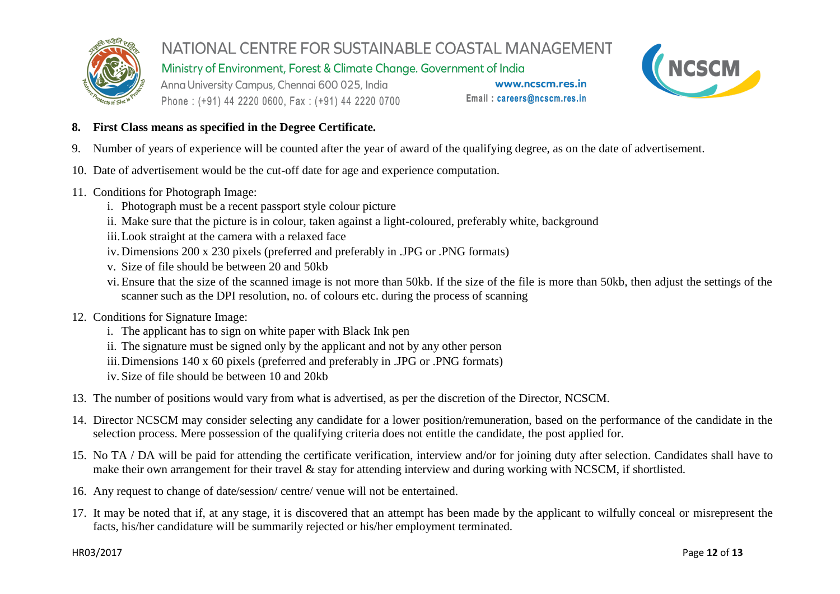

Ministry of Environment, Forest & Climate Change. Government of India

Anna University Campus, Chennai 600 025, India Phone: (+91) 44 2220 0600, Fax: (+91) 44 2220 0700

www.ncscm.res.in Email: careers@ncscm.res.in



#### **8. First Class means as specified in the Degree Certificate.**

- 9. Number of years of experience will be counted after the year of award of the qualifying degree, as on the date of advertisement.
- 10. Date of advertisement would be the cut-off date for age and experience computation.
- 11. Conditions for Photograph Image:
	- i. Photograph must be a recent passport style colour picture
	- ii. Make sure that the picture is in colour, taken against a light-coloured, preferably white, background
	- iii.Look straight at the camera with a relaxed face
	- iv. Dimensions 200 x 230 pixels (preferred and preferably in .JPG or .PNG formats)
	- v. Size of file should be between 20 and 50kb
	- vi. Ensure that the size of the scanned image is not more than 50kb. If the size of the file is more than 50kb, then adjust the settings of the scanner such as the DPI resolution, no. of colours etc. during the process of scanning
- 12. Conditions for Signature Image:
	- i. The applicant has to sign on white paper with Black Ink pen
	- ii. The signature must be signed only by the applicant and not by any other person
	- iii.Dimensions 140 x 60 pixels (preferred and preferably in .JPG or .PNG formats)
	- iv. Size of file should be between 10 and 20kb
- 13. The number of positions would vary from what is advertised, as per the discretion of the Director, NCSCM.
- 14. Director NCSCM may consider selecting any candidate for a lower position/remuneration, based on the performance of the candidate in the selection process. Mere possession of the qualifying criteria does not entitle the candidate, the post applied for.
- 15. No TA / DA will be paid for attending the certificate verification, interview and/or for joining duty after selection. Candidates shall have to make their own arrangement for their travel & stay for attending interview and during working with NCSCM, if shortlisted.
- 16. Any request to change of date/session/ centre/ venue will not be entertained.
- 17. It may be noted that if, at any stage, it is discovered that an attempt has been made by the applicant to wilfully conceal or misrepresent the facts, his/her candidature will be summarily rejected or his/her employment terminated.